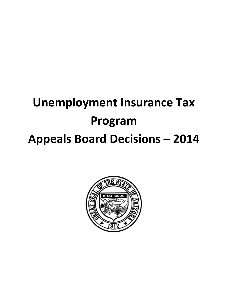## **Unemployment Insurance Tax Program Appeals Board Decisions – 2014**

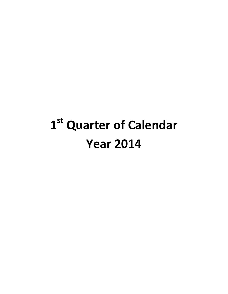# **1st Quarter of Calendar Year 2014**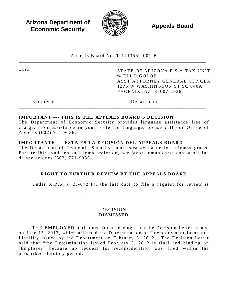**Arizona Department of Economic Security Appeals Board**<br> **Economic Security** 



Appeals Board No. T- 1413569 -001 -B \_\_\_\_\_\_\_\_\_\_\_\_\_\_\_\_\_\_\_\_\_\_\_\_\_\_\_\_\_\_\_\_\_\_\_\_\_\_\_\_\_\_\_\_\_\_\_\_\_\_\_\_\_\_\_\_\_\_\_\_\_\_\_\_\_\_\_\_\_\_\_\_\_\_\_\_\_\_\_\_\_\_\_\_

\*\*\*\* STATE OF ARIZONA E S A TAX UNIT ℅ ELI D GOLOB ASST ATTORNEY GENERAL CFP/CLA 1275 W WASHINGTON ST SC 040A PHOENIX, AZ 85007 -2926

\_\_\_\_\_\_\_\_\_\_\_\_\_\_\_\_\_\_\_\_\_\_\_\_\_\_\_\_.

Employer Department

#### **IMPORTANT --- THIS IS THE APPEALS BOARD'S DECISION**

The Department of Economic Security provides language assistance free of charge. For assistance in your preferred language, please call our Office of Appeals (602) 771 -9036 .

\_\_\_\_\_\_\_\_\_\_\_\_\_\_\_\_\_\_\_\_\_\_\_\_\_\_\_\_\_\_\_\_\_\_\_\_\_\_\_\_\_\_\_\_\_\_\_\_\_\_\_\_\_\_\_\_\_\_\_\_\_\_\_\_\_\_\_\_\_\_\_\_\_\_\_\_\_\_\_\_\_\_\_\_

## **IMPORTANTE --- ESTA ES LA DECISIÓN DEL APPEALS BOARD**

The Department of Economic Security suministra ayuda de los idiomas gratis. Para recibir ayuda en su idioma preferido, por favor comunicarse con la oficina de apelaciones (602) 771 - 9036 .

## **RIGHT TO FURTHER REVIEW BY THE APPEALS BOARD**

Under A.R.S. § 23-672 $(F)$ , the <u>last date</u> to file a request for review is

DECISION **DISMISSED**

THE **EMPLOYER** petitioned for a hearing from the Decision Letter issued on June 15, 2012, which affirmed the Determination of Unemployment Insurance Liability issued by the Department on February 3, 2012. The Decision Letter held that "the Determination issued February 3, 2012 is final and binding on [Employer] because no request for reconsideration was filed within the prescribed statutory period. "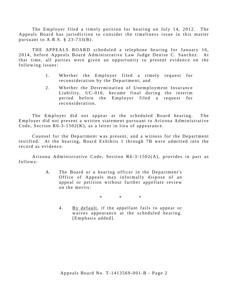The Employer filed a timely petition for hearing on July 14, 2012. The Appeals Board has jurisdiction to consider the timeliness issue in this matter pursuant to  $A.R.S. \S 23-733(B)$ .

THE APPEALS BOARD scheduled a telephone hearing for January 16, 2014, before Appeals Board Administrative Law Judge Denise C. Sanchez. At that time, all parties were given an opportunity to present evidence on the following issues:

- 1. Whether the Employer filed a timely request for reconsideration by the Department; and
- 2. Whether the Determination of Unemployment Insurance Liability, UC-016, became final during the interim period before the Employer filed a request for reconsideration.

The Employer did not appear at the scheduled Board hearing. The Employer did not present a written statement pursuant to Arizona Administrative Code, Section  $R6-3-1502(K)$ , as a letter in lieu of appearance.

Counsel for the Department was present, and a witness for the Department testified. At the hearing, Board Exhibits 1 through 7B were admitted into the record as evidence.

Arizona Administrative Code, Section R6-3-1502(A), provides in part as follows:

> A. The Board or a hearing officer in the Department's Office of Appeals may informally dispose of an appeal or petition without further appellate review on the merits:

> > \* \* \*

4. By default, if the appellant fails to appear or waives appearance at the scheduled hearing. [Emphasis added].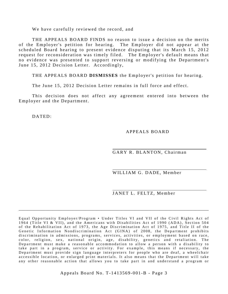We have carefully reviewed the record, and

THE APPEALS BOARD FINDS no reason to issue a decision on the merits of the Employer's petition for hearing. The Employer did not appear at the scheduled Board hearing to present evidence disputing that its March 15, 2012 request for reconsideration was timely filed. The Employer's default means that no evidence was presented to support reversing or modifying the Department's June 15, 2012 Decision Letter. Accordingly,

THE APPEALS BOARD **DISMISSES** the Employer's petition for hearing.

The June 15, 2012 Decision Letter remains in full force and effect.

This decision does not affect any agreement entered into between the Employer and the Department.

DATED:

APPEALS BOARD

GARY R. BLANTON, Chairman

WILLIAM G. DADE, Member

JANET L. FELTZ, Member

Equal Opportunity Employer/Program • Under Titles VI and VII of the Civil Rights Act o f 1964 (Title VI & VII), and the Americans with Disabilities Act of 1990 (ADA), Section 504 of the Rehabilitation Act of 1973, the Age Discrimination Act of 1975, and Title II of the Genetic Information Nondiscrimination Act (GINA) of 2008, the Department prohibits discrimination in admissions, programs, services, activities, or employment based on race, color, religion, sex, national origin, age, disability, genetics and retaliation. The Department must make a reasonable accommodation to allow a person with a disability to take part in a program, service or activity. For example, this means if necessary, the Department must provide sign language interpreters for people who are deaf, a wheelchair accessible location, or enlarged print materials. It also means that the Department will take any other reasonable action that allows you to take part in and understand a program or

\_\_\_\_\_\_\_\_\_\_\_\_\_\_\_\_\_\_\_\_\_\_\_\_\_\_\_\_\_\_\_\_\_\_\_\_\_\_\_\_\_\_\_\_\_\_\_\_\_\_\_\_\_\_\_\_\_\_\_\_\_\_\_\_\_\_\_\_\_\_\_\_\_\_\_\_\_\_\_\_\_\_\_\_\_

Appeals Board No. T- 1413569 -001 -B - Page 3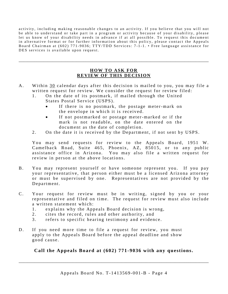activity, including making reasonable changes to an activity. If you believe that you will not be able to understand or take part in a program or activity because of your disability, please let us know of your disability needs in advance if at all possible. To request this document in alternative format or for further information about this policy, please contact the Appeals Board Chairman at (602) 771-9036; TTY/TDD Services: 7-1-1. • Free language assistance for DES services is available upon request.

## **HOW TO ASK FOR REVIEW OF THIS DECISION**

\_\_\_\_\_\_\_\_\_\_\_\_\_\_\_\_\_\_\_\_\_\_\_\_\_\_\_\_\_\_\_\_\_\_\_\_\_\_\_\_\_\_\_\_\_\_\_\_\_\_\_\_\_\_\_\_\_\_\_\_\_\_\_\_\_\_\_\_\_\_\_\_\_\_\_\_\_\_\_\_\_\_\_\_\_

- A. Within 30 calendar days after this decision is mailed to you, you may file a written request for review. We consider the request for review filed:
	- 1. On the date of its postmark, if mailed through the United States Postal Service (USPS).
		- If there is no postmark, the postage meter-mark on the envelope in which it is received.
		- If not postmarked or postage meter-marked or if the mark is not readable, on the date entered on the document as the date of completion.
	- 2. On the date it is received by the Department, if not sent by USPS.

You may send requests for review to the Appeals Board, 1951 W. Camelback Road, Suite 465, Phoenix, AZ, 85015, or to any public assistance office in Arizona. You may also file a written request for review in person at the above locations.

- B. You may represent yourself or have someone represent you. If you pay your representative, that person either must be a licensed Arizona attorney or must be supervised by one. Representatives are not provided by the Department.
- C. Your request for review must be in writing, signed by you or your representative and filed on time. The request for review must also include a written statement which:
	- 1. explains why the Appeals Board decision is wrong,
	- 2. cites the record, rules and other authority, and
	- 3 . refers to specific hearing testimony and evidence.
- D. If you need more time to file a request for review, you must apply to the Appeals Board before the appeal deadline and show good cause.

## **Call the Appeals Board at (602) 771-9036 with any questions.**

\_\_\_\_\_\_\_\_\_\_\_\_\_\_\_\_\_\_\_\_\_\_\_\_\_\_\_\_\_\_\_\_\_\_\_\_\_\_\_\_\_\_\_\_\_\_\_\_\_\_\_\_\_\_\_\_\_\_\_\_\_\_\_\_\_\_\_\_\_\_\_\_\_\_\_\_\_\_\_\_\_\_\_\_\_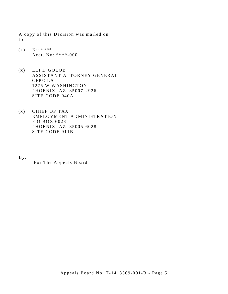A copy of this Decision was mailed on to:

- $(x)$  Er: \*\*\*\* Acct. No: \*\*\*\* -000
- (x) ELI D GOLOB ASSISTANT ATTORNEY GENERAL CFP/CLA 1275 W WASHINGTON PHOENIX, AZ 85007 -2926 SITE CODE 040A
- (x) CHIEF OF TAX EMPLOYMENT ADMINISTRATION P O BOX 6028 PHOENIX, AZ 85005 -6028 SITE CODE 911B

 $By:$ 

For The Appeals Board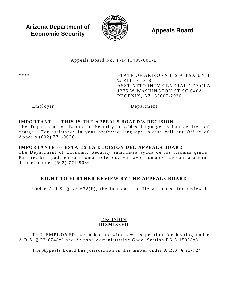**Arizona Department of Economic Security Appeals Board**<br> **Economic Security** 



Appeals Board No. T- 1411499 -001 -B \_\_\_\_\_\_\_\_\_\_\_\_\_\_\_\_\_\_\_\_\_\_\_\_\_\_\_\_\_\_\_\_\_\_\_\_\_\_\_\_\_\_\_\_\_\_\_\_\_\_\_\_\_\_\_\_\_\_\_\_\_\_\_\_\_\_\_\_\_\_\_\_\_\_\_\_\_\_\_\_\_\_\_\_\_

\*\*\*\* STATE OF ARIZONA E S A TAX UNIT ℅ ELI GOLOB ASST ATTORNEY GENERAL CFP/CLA 1275 W WASHINGTON ST SC 040A PHOENIX, AZ 85007 -2926

\_\_\_\_\_\_\_\_\_\_\_\_\_\_\_\_\_\_\_\_\_\_\_\_\_\_\_\_.

Employer Department

## **IMPORTANT --- THIS IS THE APPEALS BOARD'S DECISION**

The Department of Economic Security provides language assistance free of charge. For assistance in your preferred language, please call our Office of Appeals (602) 771 -9036 .

\_\_\_\_\_\_\_\_\_\_\_\_\_\_\_\_\_\_\_\_\_\_\_\_\_\_\_\_\_\_\_\_\_\_\_\_\_\_\_\_\_\_\_\_\_\_\_\_\_\_\_\_\_\_\_\_\_\_\_\_\_\_\_\_\_\_\_\_\_\_\_\_\_\_\_\_\_\_\_\_\_\_\_\_\_

#### **IMPORTANTE --- ESTA ES LA DECISIÓN DEL APPEALS BOARD**

The Department of Economic Security suministra ayuda de los idiomas gratis. Para recibir ayuda en su idioma preferido, por favor comunicarse con la oficina de apelaciones (602) 771 - 9036 .

## **RIGHT TO FURTHER REVIEW BY THE APPEALS BOARD**

Under A.R.S. § 23-672 $(F)$ , the last date to file a request for review is

DECISION **DISMISSED**

THE **EMPLOYER** has asked to withdraw its petition for hearing under A.R.S. § 23-674(A) and Arizona Administrative Code, Section R6-3-1502(A).

The Appeals Board has jurisdiction in this matter under A.R.S. § 23 -724.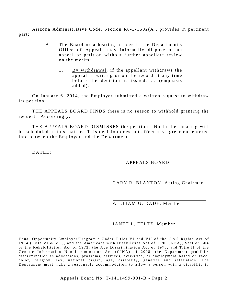Arizona Administrative Code, Section  $R6-3-1502(A)$ , provides in pertinent part:

- A. The Board or a hearing officer in the Department's Office of Appeals may informally dispose of an appeal or petition without further appellate review on the merits:
	- 1. By withdrawal, if the appellant withdraws the appeal in writing or on the record at any time before the decision is issued; ... (emphasis added).

On January 6, 2014, the Employer submitted a written request to withdraw its petition.

THE APPEALS BOARD FINDS there is no reason to withhold granting the request. Accordingly,

THE APPEALS BOARD **DISMISSES** the petition. No further hearing will be scheduled in this matter. This decision does not affect any agreement entered into between the Employer and the Department.

DATED:

## APPEALS BOARD

GARY R. BLANTON, Acting Chairman

WILLIAM G. DADE, Member

## JANET L. FELTZ, Member

Equal Opportunity Employer/Program • Under Titles VI and VII of the Civil Rights Act of 1964 (Title VI & VII), and the Americans with Disabilities Act of 1990 (ADA), Section 504 of the Rehabilitation Act of 1973, the Age Discrimination Act of 1975, and Title II of the Genetic Information Nondiscrimination Act (GINA) of 2008, the Department prohibits discrimination in admissions, programs, services, activities, or employment based on race, color, religion, sex, national origin, age, disability, genetics and retaliation. The Department must make a reasonable accommodation to allow a person with a disability to

\_\_\_\_\_\_\_\_\_\_\_\_\_\_\_\_\_\_\_\_\_\_\_\_\_\_\_\_\_\_\_\_\_\_\_\_\_\_\_\_\_\_\_\_\_\_\_\_\_\_\_\_\_\_\_\_\_\_\_\_\_\_\_\_\_\_\_\_\_\_\_\_\_\_\_\_\_\_\_\_\_\_\_\_\_

Appeals Board No. T- 1411499 -001 -B - Page 2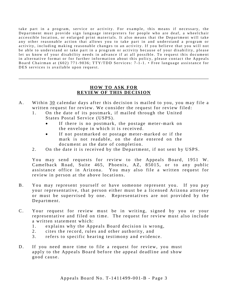take part in a program, service or activity. For example, this means if necessary, the Department must provide sign language interpreters for people who are deaf, a wheelchair accessible location, or enlarged print materials. It also means that the Department will take any other reasonable action that allows you to take part in and understand a program or activity, including making reasonable changes to an activity. If you believe that you will not be able to understand or take part in a program or activity because of your disability, please let us know of your disability needs in advance if at all possible. To request this document in alternative format or for further information about this policy, please contact the Appeals Board Chairman at (602) 771-9036; TTY/TDD Services: 7-1-1. • Free language assistance for DES services is available upon request.

## **HOW TO ASK FOR REVIEW OF THIS DECISION**

\_\_\_\_\_\_\_\_\_\_\_\_\_\_\_\_\_\_\_\_\_\_\_\_\_\_\_\_\_\_\_\_\_\_\_\_\_\_\_\_\_\_\_\_\_\_\_\_\_\_\_\_\_\_\_\_\_\_\_\_\_\_\_\_\_\_\_\_\_\_\_\_\_\_\_\_\_\_\_\_\_\_\_\_\_

- A. Within 30 calendar days after this decision is mailed to you, you may file a written request for review. We consider the request for review filed:
	- 1. On the date of its postmark, if mailed through the United States Postal Service (USPS).
		- If there is no postmark, the postage meter-mark on the envelope in which it is received.
		- If not postmarked or postage meter-marked or if the mark is not readable, on the date entered on the document as the date of completion.
	- 2. On the date it is received by the Department, if not sent by USPS.

You may send requests for review to the Appeals Board, 1951 W. Camelback Road, Suite 465, Phoenix, AZ, 85015, or to any public assistance office in Arizona. You may also file a written request for review in person at the above locations.

- B. You may represent yourself or have someone represent you. If you pay your representative, that person either must be a licensed Arizona attorney or must be supervised by one. Representatives are not provided by the Department.
- C. Your request for review must be in writing, signed by you or your representative and filed on time. The request for review must also include a written statement which:
	- 1. explains why the Appeals Board decision is wrong,
	- 2. cites the record, rules and other authority, and
	- 3. refers to specific hearing testimony and evidence.
- D. If you need more time to file a request for review, you must apply to the Appeals Board before the appeal deadline and show good cause.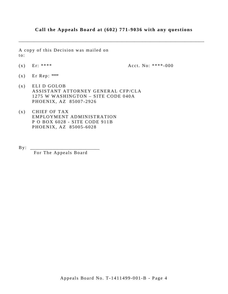## **Call the Appeals Board at (602) 771-9036 with any questions**

\_\_\_\_\_\_\_\_\_\_\_\_\_\_\_\_\_\_\_\_\_\_\_\_\_\_\_\_\_\_\_\_\_\_\_\_\_\_\_\_\_\_\_\_\_\_\_\_\_\_\_\_\_\_\_\_\_\_\_\_\_\_\_\_\_\_\_\_\_\_\_\_\_\_\_\_\_\_\_\_\_\_\_

A copy of this Decision was mailed on to:

(x) Er: \*\*\*\* Acct. No: \*\*\*\* -000

- $(x)$  Er Rep: \*\*\*\*
- (x) ELI D GOLOB ASSISTANT ATTORNEY GENERAL CFP/CLA 1275 W WASHINGTON – SITE CODE 040A PHOENIX, AZ 85007 -2926
- (x) CHIEF OF TAX EMPLOYMENT ADMINISTRATION P O BOX 6028 - SITE CODE 911B PHOENIX, AZ 85005 -6028

By: \_\_\_\_\_\_\_\_\_\_\_\_\_\_\_\_\_\_\_\_\_\_\_\_\_\_\_\_\_\_\_

For The Appeals Board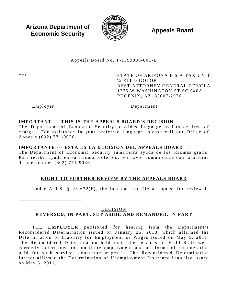**Arizona Department of Economic Security Appeals Board**<br> **Economic Security** 



Appeals Board No. T- 1399896 -001 -B \_\_\_\_\_\_\_\_\_\_\_\_\_\_\_\_\_\_\_\_\_\_\_\_\_\_\_\_\_\_\_\_\_\_\_\_\_\_\_\_\_\_\_\_\_\_\_\_\_\_\_\_\_\_\_\_\_\_\_\_\_\_\_\_\_\_\_\_\_\_\_\_\_\_\_\_\_\_\_\_\_\_\_\_\_

\*\*\* STATE OF ARIZONA E S A TAX UNIT ℅ ELI D GOLOB ASST ATTORNEY GENERAL CFP/CLA 1275 W WASHINGTON ST SC 040A PHOENIX, AZ 85007 -2976

\_\_\_\_\_\_\_\_\_\_\_\_\_\_\_\_\_\_\_\_\_\_\_\_\_\_\_\_.

Employer Department

## **IMPORTANT --- THIS IS THE APPEALS BOARD'S DECISION**

The Department of Economic Security provides language assistance free of charge. For assistance in your preferred language, please call our Office of Appeals (602) 771 -9036 .

\_\_\_\_\_\_\_\_\_\_\_\_\_\_\_\_\_\_\_\_\_\_\_\_\_\_\_\_\_\_\_\_\_\_\_\_\_\_\_\_\_\_\_\_\_\_\_\_\_\_\_\_\_\_\_\_\_\_\_\_\_\_\_\_\_\_\_\_\_\_\_\_\_\_\_\_\_\_\_\_\_\_\_\_\_

## **IMPORTANTE --- ESTA ES LA DECISIÓN DEL APPEALS BOARD**

The Department of Economic Security suministra ayuda de los idiomas gratis. Para recibir ayuda en su idioma preferido, por favor comunicarse con la oficina de apelaciones (602) 771 - 9036 .

## **RIGHT TO FURTHER REVIEW BY THE APPEALS BOARD**

Under A.R.S. § 23-672 $(F)$ , the last date to file a request for review is

## DECISION

## **REVERSED, IN PART, SET ASIDE AND REMANDED, IN PART**

THE **EMPLOYER** petitioned for hearing from the Department's Reconsidered Determination issued on January 25, 2013, which affirmed the Determination of Liability for Employment or Wages issued on May 5, 2011. The Reconsidered Determination held that " the services of Field Staff were correctly determined to constitute employment and all forms of remuneration paid for such services constitute wages." The Reconsidered Determination further affirmed the Determination of Unemployment Insurance Liability issued on May 5, 2011.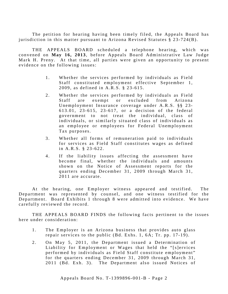The petition for hearing having been timely filed, the Appeals Board has jurisdiction in this matter pursuant to Arizona Revised Statutes § 23-724(B).

THE APPEALS BOARD scheduled a telephone hearing, which was convened on **May 16 , 2013**, before Appeals Board Administrative Law Judge Mark H. Preny. At that time, all parties were given an opportunity to present evidence on the following issues:

- 1. Whether the services performed by individuals as Field Staff constituted employment effective September 1, 2009, as defined in A.R.S. § 23-615.
- 2. Whether the services performed by individuals as Field Staff are exempt or excluded from Arizona Unemployment Insurance coverage under A.R.S. §§ 23- 613.01, 23 - 615, 23 - 617, or a decision of the federal government to not treat the individual, class of individuals, or similarly situated class of individuals as an employee or employees for Federal Unemployment Tax purposes.
- 3 . Whether all forms of remuneration paid to individuals for services as Field Staff constitutes wages as defined in A.R.S. § 23 - 622.
- 4. If the liability issues affecting the assessment have become final, whether the individuals and amounts shown on the Notice of Assessment reports for the quarters ending December 31, 2009 through March 31, 2011 are accurate.

At the hearing, one Employer witness appeared and testified. The Department was represented by counsel, and one witness testified for the Department. Board Exhibits 1 through 8 were admitted into evidence. We have carefully reviewed the record.

THE APPEALS BOARD FINDS the following facts pertinent to the issues here under consideration:

- 1. The Employer is an Arizona business that provides auto glass repair services to the public  $(Bd. Exhs. 1, 6A; Tr. pp. 17-19)$ .
- 2. On May 5, 2011, the Department issued a Determination of Liability for Employment or Wages that held the "[s]ervices performed by individuals as Field Staff constitute employment" for the quarters ending December 31, 2009 through March 31, 2011 (Bd. Exh. 3). The Department also issued Notices of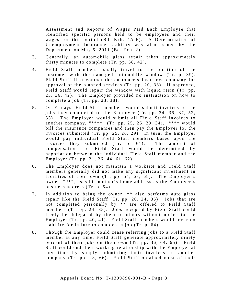Assessment and Reports of Wages Paid Each Employee that identified specific persons held to be employees and their wages for this period (Bd. Exh. 4A-F). A Determination of Unemployment Insurance Liability was also issued by the Department on May  $5, 2011$  (Bd. Exh. 2).

- 3. Generally, an automobile glass repair takes approximately thirty minutes to complete (Tr. pp. 38, 42 ).
- 4 . Field Staff members usually travel to the location of the customer with the damaged automobile window (Tr. p. 39). Field Staff first contact the customer's insurance company for approval of the planned services (Tr. pp. 20, 38). If approved, Field Staff would repair the window with liquid resin (Tr. pp. 23, 36, 42). The Employer provided no instruction on how to complete a job (Tr. pp. 23, 38).
- 5 . On Fridays, Field Staff members would submit invoices of the jobs they completed to the Employer (Tr. pp. 34, 36, 37, 52, 53). The Employer would submit all Field Staff invoices to another company, "\*\*\*\*" (Tr. pp. 25, 26, 29, 34). \*\*\*\* would bill the insurance companies and then pay the Employer for the invoices submitted (Tr. pp. 25, 26, 29). In turn, the Employer would pay individual Field Staff members based upon the invoices they submitted (Tr. p. 61). The amount of compensation for Field Staff would be determined by negotiation between the individual Field Staff member and the Employer (Tr. pp. 21, 26, 44, 61, 62 ).
- 6 . The Employer does not maintain a worksite and Field Staff members generally did not make any significant investment in facilities of their own (Tr. pp. 54, 67, 68). The Employer's owner, "\*\*", uses his mother's home address as the Employer's business address (Tr. p. 54 ).
- 7. In addition to being the owner, \*\* also performs auto glass repair like the Field Staff (Tr. pp. 20, 24, 35). Jobs that are not completed personally by \*\* are offered to Field Staff members (Tr. pp. 24, 35). Jobs accepted by Field Staff could freely be delegated by them to others without notice to the Employer (Tr. pp. 40, 41). Field Staff members would incur no liability for failure to complete a job (Tr. p. 64).
- 8. Though the Employer could cease referring jobs to a Field Staff member at any time, Field Staff generate approximately ninety percent of their jobs on their own (Tr. pp. 36, 64, 65). Field Staff could end their working relationship with the Employer at any time by simply submitting their invoices to another company (Tr. pp. 28, 66). Field Staff obtained most of their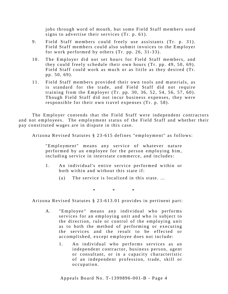jobs through word of mouth, but some Field Staff members used signs to advertise their services (Tr. p. 61).

- 9. Field Staff members could freely use assistants (Tr. p. 31). Field Staff members could also submit invoices to the Employer for work performed by others  $(Tr. pp. 26, 31-33)$ .
- 10. The Employer did not set hours for Field Staff members, and they could freely schedule their own hours (Tr. pp. 49, 50, 69 ). Field Staff could work as much or as little as they desired (Tr. pp. 50, 69).
- 11. Field Staff members provided their own tools and materials, as is standard for the trade, and Field Staff did not require training from the Employer (Tr. pp. 30, 36, 52, 54, 56, 57, 60). Though Field Staff did not incur business expenses, they were responsible for their own travel expenses (Tr. p. 58).

The Employer contends that the Field Staff were independent contractors and not employees. The employment status of the Field Staff and whether their pay constituted wages are in dispute in this case.

Arizona Revised Statutes § 23 -615 defines "employment" as follows:

"Employment" means any service of whatever nature performed by an employee for the person employing him, including service in interstate commerce, and includes:

- 1 . An individual's entire service performed within or both within and without this state if:
	- (a) The service is localized in this state. …

\* \* \*

Arizona Revised Statutes § 23-613.01 provides in pertinent part:

- A. "Employee" means any individual who performs services for an employing unit and who is subject to the direction, rule or control of the employing unit as to both the method of performing or executing the services and the result to be effected or accomplished, except employee does not include:
	- 1. An individual who performs services as an independent contractor, business person, agent or consultant, or in a capacity characteristic of an independent profession, trade, skill or occupation.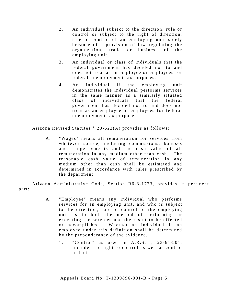- 2. An individual subject to the direction, rule or control or subject to the right of direction, rule or control of an employing unit solely because of a provision of law regulating the organization, trade or business of the employing unit.
- 3. An individual or class of individuals that the federal government has decided not to and does not treat as an employee or employees for federal unemployment tax purposes.
- 4 . An individual if the employing unit demonstrates the individual performs services in the same manner as a similarly situated class of individuals that the federal government has decided not to and does not treat as an employee or employees for federal unemployment tax purposes.

Arizona Revised Statutes § 23 -622(A) provides as follows:

A. "Wages" means all remuneration for services from whatever source, including commissions, bonuses and fringe benefits and the cash value of all remuneration in any medium other than cash. The reasonable cash value of remuneration in any medium other than cash shall be estimated and determined in accordance with rules prescribed by the department.

Arizona Administrative Code, Section R6-3-1723, provides in pertinent part:

- A. "Employee" means any individual who performs services for an employing unit, and who is subject to the direction, rule or control of the employing unit as to both the method of performing or executing the services and the result to be effected or accomplished. Whether an individual is an employee under this definition shall be determined by the preponderance of the evidence.
	- 1. "Control" as used in A.R.S. § 23-613.01, includes the right to control as well as control in fact.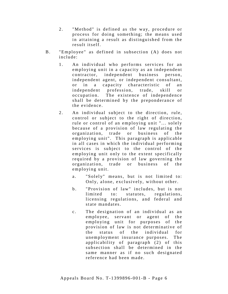- 2. "Method" is defined as the way, procedure or process for doing something; the means used in attaining a result as distinguished from the result itself.
- B. "Employee" as defined in subsection (A) does not include:
	- 1. An individual who performs services for an employing unit in a capacity as an independent contractor, independent business person, independent agent, or independent consultant, or in a capacity characteristic of an independent profession, trade, skill or occupation. The existence of independence shall be determined by the preponderance of the evidence.
	- 2. An individual subject to the direction, rule, control or subject to the right of direction, rule or control of an employing unit "... solely because of a provision of law regulating the organization, trade or business of the employing unit". This paragraph is applicable in all cases in which the individual performing services is subject to the control of the employing unit only to the extent specifically required by a provision of law governing the organization, trade or business of the employing unit.
		- a. "Solely" means, but is not limited to: Only, alone, exclusively, without other.
		- b. "Provision of law" includes, but is not limited to: statutes, regulations, licensing regulations, and federal and state mandates.
		- c. The designation of an individual as an employee, servant or agent of the employing unit for purposes of the provision of law is not determinative of the status of the individual for unemployment insurance purposes. The applicability of paragraph (2) of this subsection shall be determined in the same manner as if no such designated reference had been made.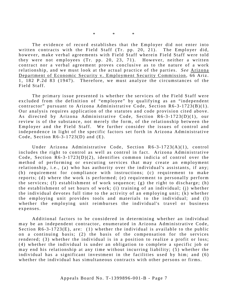\* \* \*

The evidence of record establishes that the Employer did not enter into written contracts with the Field Staff (Tr. pp. 20, 21). The Employer did, however, make verbal agreements with Field Staff wherein Field Staff were told they were not employees (Tr. pp. 20, 23, 71). However, neither a written contract nor a verbal agreement proves conclusive as to the nature of a work relationship, and we must look at the actual practice of the parties. *See* Arizona Department of Economic Security v. Employment Security Commission, 66 Ariz. 1, 182 P.2d 83 (1947). Therefore, we must analyze the circumstances of the Field Staff.

The primary issue presented is whether the services of the Field Staff were excluded from the definition of "employee" by qualifying as an "independent contractor" pursuant to Arizona Administrative Code, Section R6-3-1723(B)(1). Our analysis requires application of the statutes and code provision cited above. As directed by Arizona Administrative Code, Section R6-3-1723(D)(1), our review is of the substance, not merely the form, of the relationship between the Employer and the Field Staff. We further consider the issues of control and independence in light of the specific factors set forth in Arizona Administrative Code, Section  $R6-3-1723(D)$  and  $(E)$ .

Under Arizona Administrative Code, Section R6-3-1723(A)(1), control includes the right to control as well as control in fact. Arizona Administrative Code, Section  $R6-3-1723(D)(2)$ , identifies common indicia of control over the method of performing or executing services that may create an employment relationship, i.e., (a) who has authority over the individual's assistants, if any; (b) requirement for compliance with instructions; (c) requirement to make reports; (d) where the work is performed; (e) requirement to personally perform the services; (f) establishment of work sequence; (g) the right to discharge; (h) the establishment of set hours of work; (i) training of an individual; (j) whether the individual devotes full time to the activity of an employing unit; (k) whether the employing unit provides tools and materials to the individual; and (l) whether the employing unit reimburses the individual's travel or business expenses.

Additional factors to be considered in determining whether an individual may be an independent contractor, enumerated in Arizona Administrative Code, Section  $R6 - 3 - 1723(E)$ , are: (1) whether the individual is available to the public on a continuing basis; (2) the basis of the compensation for the services rendered; (3) whether the individual is in a position to realize a profit or loss; (4) whether the individual is under an obligation to complete a specific job or may end his relationship at any time without incurring liability; (5) whether the individual has a significant investment in the facilities used by him; and (6) whether the individual has simultaneous contracts with other persons or firms.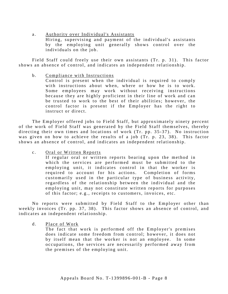a. Authority over Individual's Assistants Hiring, supervising and payment of the individual's assistants by the employing unit generally shows control over the individuals on the job.

Field Staff could freely use their own assistants (Tr. p. 31). This factor shows an absence of control, and indicates an independent relationship.

b. Compliance with Instructions

Control is present when the individual is required to comply with instructions about when, where or how he is to work. Some employees may work without receiving instructions because they are highly proficient in their line of work and can be trusted to work to the best of their abilities; however, the control factor is present if the Employer has the right to instruct or direct.

The Employer offered jobs to Field Staff, but approximately ninety percent of the work of Field Staff was generated by the Field Staff themselves, thereby directing their own times and locations of work  $(Tr. pp. 35-37)$ . No instruction was given on how to achieve the results of a job (Tr. p. 23, 38). This factor shows an absence of control, and indicates an independent relationship.

c. Oral or Written Reports

If regular oral or written reports bearing upon the method in which the services are performed must be submitted to the employing unit, it indicates control in that the worker is required to account for his actions. Completion of forms customarily used in the particular type of business activity, regardless of the relationship between the individual and the employing unit, may not constitute written reports for purposes of this factor; e.g., receipts to customers, invoices, etc .

No reports were submitted by Field Staff to the Employer other than weekly invoices (Tr. pp. 37, 38). This factor shows an absence of control, and indicates an independent relationship.

d. Place of Work

The fact that work is performed off the Employer's premises does indicate some freedom from control; however, it does not by itself mean that the worker is not an employee. In some occupations, the services are necessarily performed away from the premises of the employing unit.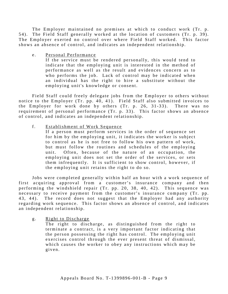The Employer maintained no premises at which to conduct work (Tr. p. 54). The Field Staff generally worked at the location of customers (Tr. p. 39). The Employer exerted no control over where Field Staff worked. This factor shows an absence of control, and indicates an independent relationship.

e. Personal Performance

If the service must be rendered personally, this would tend to indicate that the employing unit is interested in the method of performance as well as the result and evidences concern as to who performs the job. Lack of control may be indicated when an individual has the right to hire a substitute without the employing unit's knowledge or consent.

Field Staff could freely delegate jobs from the Employer to others without notice to the Employer (Tr. pp. 40, 41). Field Staff also submitted invoices to the Employer for work done by others  $(Tr, p, 26, 31-33)$ . There was no requirement of personal performance (Tr. p. 33). This factor shows an absence of control, and indicates an independent relationship.

f. Establishment of Work Sequence

If a person must perform services in the order of sequence set for him by the employing unit, it indicates the worker is subject to control as he is not free to follow his own pattern of work, but must follow the routines and schedules of the employing unit. Often, because of the nature of an occupation, the employing unit does not set the order of the services, or sets them infrequently. It is sufficient to show control, however, if the employing unit retains the right to do so .

Jobs were completed generally within half an hour with a work sequence of first acquiring approval from a customer's insurance company and then performing the windshield repair (Tr. pp. 20, 38, 40, 42). This sequence was necessary to receive payment from the customer's insurance company (Tr. pp. 43, 44). The record does not suggest that the Employer had any authority regarding work sequence. This factor shows an absence of control, and indicates an independent relationship.

g. Right to Discharge

The right to discharge, as distinguished from the right to terminate a contract, is a very important factor indicating that the person possessing the right has control. The employing unit exercises control through the ever present threat of dismissal, which causes the worker to obey any instructions which may be given.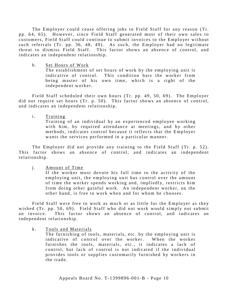The Employer could cease offering jobs to Field Staff for any reason (Tr. pp. 64, 65). However, since Field Staff generated most of their own sales to customers, Field Staff could continue to submit invoices to the Employer without such referrals (Tr. pp. 36, 48, 49). As such, the Employer had no legitimate threat to dismiss Field Staff. This factor shows an absence of control, and indicates an independent relationship.

h. Set Hours of Work

The establishment of set hours of work by the employing unit is indicative of control. This condition bars the worker from being master of his own time, which is a right of the independent worker.

Field Staff scheduled their own hours (Tr. pp. 49, 50, 69). The Employer did not require set hours (Tr. p. 50). This factor shows an absence of control, and indicates an independent relationship.

i. Training

Training of an individual by an experienced employee working with him, by required attendance at meetings, and by other methods, indicates control because it reflects that the Employer wants the services performed in a particular manner.

The Employer did not provide any training to the Field Staff (Tr. p. 52). This factor shows an absence of control, and indicates an independent relationship.

j. Amount of Time

If the worker must devote his full time to the activity of the employing unit, the employing unit has control over the amount of time the worker spends working and, impliedly, restricts him from doing other gainful work. An independent worker, on the other hand, is free to work when and for whom he chooses.

Field Staff were free to work as much or as little for the Employer as they wished (Tr. pp. 50, 69). Field Staff who did not work would simply not submit an invoice. This factor shows an absence of control, and indicates an independent relationship.

k. Tools and Materials

The furnishing of tools, materials, etc. by the employing unit is indicative of control over the worker. When the worker furnishes the tools, materials, etc., it indicates a lack of control, but lack of control is not indicated if the individual provides tools or supplies customarily furnished by workers in the trade.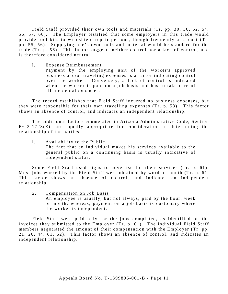Field Staff provided their own tools and materials (Tr. pp. 30, 36, 52, 54, 56, 57, 60). The Employer testified that some employers in this trade would provide tool kits to windshield repair persons, though frequently at a cost (Tr. pp. 55, 56). Supplying one's own tools and material would be standard for the trade (Tr. p. 56). This factor suggests neither control nor a lack of control, and is therefore considered neutral.

1. Expense Reimbursement

Payment by the employing unit of the worker's approved business and/or traveling expenses is a factor indicating control over the worker. Conversely, a lack of control is indicated when the worker is paid on a job basis and has to take care of all incidental expenses.

The record establishes that Field Staff incurred no business expenses, but they were responsible for their own travelling expenses (Tr. p. 58). This factor shows an absence of control, and indicates an independent relationship.

The additional factors enumerated in Arizona Administrative Code, Section  $R6-3-1723(E)$ , are equally appropriate for consideration in determining the relationship of the parties.

1. Availability to the Public The fact that an individual makes his services available to the general public on a continuing basis is usually indicative of independent status.

Some Field Staff used signs to advertise for their services (Tr. p. 61). Most jobs worked by the Field Staff were obtained by word of mouth (Tr. p. 61. This factor shows an absence of control, and indicates an independent relationship.

2. Compensation on Job Basis An employee is usually, but not always, paid by the hour, week or month; whereas, payment on a job basis is customary where the worker is independent.

Field Staff were paid only for the jobs completed, as identified on the invoices they submitted to the Employer (Tr. p. 61). The individual Field Staff members negotiated the amount of their compensation with the Employer (Tr. pp. 21, 26, 44, 61, 62). This factor shows an absence of control, and indicates an independent relationship.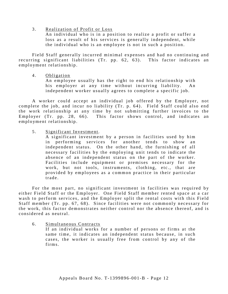3 . Realization of Profit or Loss

An individual who is in a position to realize a profit or suffer a loss as a result of his services is generally independent, while the individual who is an employee is not in such a position.

Field Staff generally incurred minimal expenses and had no continuing and recurring significant liabilities (Tr. pp. 62, 63). This factor indicates an employment relationship.

4. Obligation

An employee usually has the right to end his relationship with his employer at any time without incurring liability. An independent worker usually agrees to complete a specific job.

A worker could accept an individual job offered by the Employer, not complete the job, and incur no liability (Tr. p. 64). Field Staff could also end the work relationship at any time by not submitting further invoices to the Employer (Tr. pp. 28, 66). This factor shows control, and indicates an employment relationship.

5 . Significant Investment.

A significant investment by a person in facilities used by him in performing services for another tends to show an independent status. On the other hand, the furnishing of all necessary facilities by the employing unit tends to indicate the absence of an independent status on the part of the worker. Facilities include equipment or premises necessary for the work, but not tools, instruments, clothing, etc., that are provided by employees as a common practice in their particular trade.

For the most part, no significant investment in facilities was required by either Field Staff or the Employer. One Field Staff member rented space at a car wash to perform services, and the Employer split the rental costs with this Field Staff member (Tr. pp. 67, 68). Since facilities were not commonly necessary for the work, this factor demonstrates neither control nor the absence thereof, and is considered as neutral.

6. Simultaneous Contracts

If an individual works for a number of persons or firms at the same time, it indicates an independent status because, in such cases, the worker is usually free from control by any of the firms.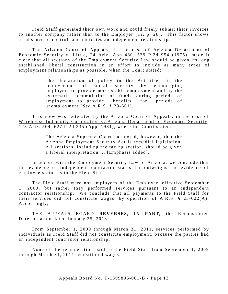Field Staff generated their own work and could freely submit their invoices to another company rather than to the Employer (Tr. p. 28). This factor shows an absence of control, and indicates an independent relationship.

The Arizona Court of Appeals, in the case of Arizona Department of Economic Security v. Little, 24 Ariz. App  $480, 539$  P.2d  $954$  (1975), made it clear that all sections of the Employment Security Law should be given its long established liberal construction in an effort to include as many types of employment relationships as possible, when the Court stated:

> The declaration of policy in the Act itself is the achievement of social security by encouraging employers to provide more stable employment and by the systematic accumulation of funds during periods of employment to provide benefits for periods of unemployment [*See* A.R.S. § 23-601].

This view was reiterated by the Arizona Court of Appeals, in the case of Warehouse Indemnity Corporation v. Arizona Department of Economic Security, 128 Ariz. 504, 627 P.2d 235 (App. 1981), where the Court stated:

> The Arizona Supreme Court has noted, however, that the Arizona Employment Security Act is remedial legislation. All sections, including the taxing section, should be given a liberal interpretation ... [Emphasis added].

In accord with the Employment Security Law of Arizona, we conclude that the evidence of independent contractor status far outweighs the evidence of employee status as to the Field Staff.

The Field Staff were not employees of the Employer, effective September 1, 2009, but rather they performed services pursuant to an independent contractor relationship. We conclude that all payments to the Field Staff for their services did not constitute wages, by operation of  $A.R.S. \S 23-622(A)$ . Accordingly,

THE APPEALS BOARD **REVERSES, IN PART,** the Reconsidered Determination dated January 25, 2013.

From September 1, 2009 through March 31, 2011, services performed by individuals as Field Staff did not constitute employment, because the parties had an independent contractor relationship.

None of the remuneration paid to the Field Staff from September 1, 2009 through March 31, 2011, constituted wages.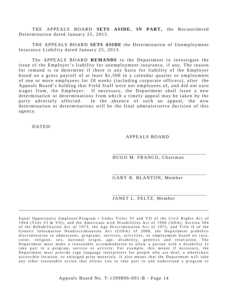THE APPEALS BOARD **SETS ASIDE, IN PART,** the Reconsidered Determination dated January 25, 2013.

THE APPEALS BOARD **SETS ASIDE** the Determination of Unemployment Insurance Liability dated January 25, 2013.

The APPEALS BOARD **REMANDS** to the Department to investigate the issue of the Employer's liability for unemployment insurance, if any. The reason for remand is to determine if there is any basis for liability of the Employer based on a gross payroll of at least \$1,500 in a calendar quarter or employment of one or more employees for 20 weeks (including corporate officers), after the Appeals Board's holding that Field Staff were not employees of, and did not earn wages from, the Employer. If necessary, the Department shall issue a new determination or determinations from which a timely appeal may be taken by the party adversely affected. In the absence of such an appeal, the new determination or determinations will be the final administrative decision of this agency.

DATED:

#### APPEALS BOARD

HUGO M. FRANCO, Chairman

GARY R. BLANTON, Member

JANET L. FELTZ, Member

Equal Opportunity Employer/Program • Under Titles VI and VII of the Civil Rights Act of 1964 (Title VI & VII), and the Americans with Disabilities Act of 1990 (ADA), Section 504 of the Rehabilitation Act of 1973, the Age Discrimination Act of 1975, and Title II of the Genetic Information Nondiscrimination Act (GINA) of 2008, the Department prohibits discrimination in admissions, programs, services, activities, or employment based on race, color, religion, sex, national origin, age, disability, genetics and retaliation. The Department must make a reasonable accommodation to allow a person with a disability to take part in a program, service or activity. For example, this means if necessary, the Department must provide sign language interpreters for people who are deaf, a wheelchair accessible location, or enlarged print materials. It also means that the Department will take any other reasonable action that allows you to take part in and understand a program or

\_\_\_\_\_\_\_\_\_\_\_\_\_\_\_\_\_\_\_\_\_\_\_\_\_\_\_\_\_\_\_\_\_\_\_\_\_\_\_\_\_\_\_\_\_\_\_\_\_\_\_\_\_\_\_\_\_\_\_\_\_\_\_\_\_\_\_\_\_\_\_\_\_\_\_\_\_\_\_\_\_\_\_\_\_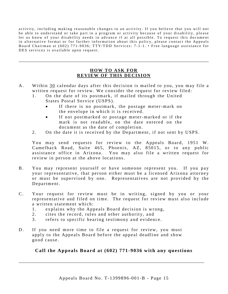activity, including making reasonable changes to an activity. If you believe that you will not be able to understand or take part in a program or activity because of your disability, please let us know of your disability needs in advance if at all possible. To request this document in alternative format or for further information about this policy, please contact the Appeals Board Chairman at (602) 771-9036; TTY/TDD Services: 7-1-1. • Free language assistance for DES services is available upon request.

## **HOW TO ASK FOR REVIEW OF THIS DECISION**

\_\_\_\_\_\_\_\_\_\_\_\_\_\_\_\_\_\_\_\_\_\_\_\_\_\_\_\_\_\_\_\_\_\_\_\_\_\_\_\_\_\_\_\_\_\_\_\_\_\_\_\_\_\_\_\_\_\_\_\_\_\_\_\_\_\_\_\_\_\_\_\_\_\_\_\_\_\_\_\_\_\_\_\_\_

- A. Within 30 calendar days after this decision is mailed to you, you may file a written request for review. We consider the request for review filed:
	- 1. On the date of its postmark, if mailed through the United States Postal Service (USPS).
		- If there is no postmark, the postage meter-mark on the envelope in which it is received.
		- If n ot postmarked or postage meter-marked or if the mark is not readable, on the date entered on the document as the date of completion.
	- 2. On the date it is received by the Department, if not sent by USPS.

You may send requests for review to the Appeals Board, 1951 W. Camelback Road, Suite 465, Phoenix, AZ, 85015, or to any public assistance office in Arizona. You may also file a written request for review in person at the above locations.

- B. You may represent yourself or have someone represent you. If you pay your representative, that person either must be a licensed Arizona attorney or must be supervised by one. Representatives are not provided by the Department.
- C. Your request for review must be in writing, signed by you or your representative and filed on time. The request for review must also include a written statement which:
	- 1. explains why the Appeals Board decision is wrong,
	- 2. cites the record, rules and other authority, and
	- 3 . refers to specific hearing testimony and evidence.
- D. If you need more time to file a request for review, you must apply to the Appeals Board before the appeal deadline and show good cause.

## **Call the Appeals Board at (602) 771-9036 with any questions**

\_\_\_\_\_\_\_\_\_\_\_\_\_\_\_\_\_\_\_\_\_\_\_\_\_\_\_\_\_\_\_\_\_\_\_\_\_\_\_\_\_\_\_\_\_\_\_\_\_\_\_\_\_\_\_\_\_\_\_\_\_\_\_\_\_\_\_\_\_\_\_\_\_\_\_\_\_\_\_\_\_\_\_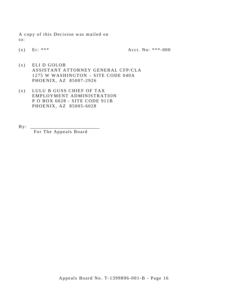A copy of this Decision was mailed on to:

(x) Er: \*\*\*  $\text{Acct. No: }$  \*\*\* - 000

- (x) ELI D GOLOB ASSISTANT ATTORNEY GENERAL CFP/CLA 1275 W WASHINGTON – SITE CODE 040A PHOENIX, AZ 85007 -2926
- (x) LULU B GUSS CHIEF OF TAX EMPLOYMENT ADMINISTRATION P O BOX 6028 - SITE CODE 911B PHOENIX, AZ 85005 -6028
- $By:$ For The Appeals Board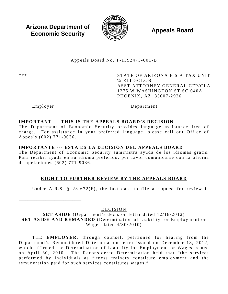**Arizona Department of Economic Security Appeals Board**<br> **Economic Security** 



Appeals Board No. T- 1392473 -001 -B \_\_\_\_\_\_\_\_\_\_\_\_\_\_\_\_\_\_\_\_\_\_\_\_\_\_\_\_\_\_\_\_\_\_\_\_\_\_\_\_\_\_\_\_\_\_\_\_\_\_\_\_\_\_\_\_\_\_\_\_\_\_\_\_\_\_\_\_\_\_\_\_\_\_\_\_\_\_\_\_\_\_\_\_\_

\*\*\* STATE OF ARIZONA E S A TAX UNIT ℅ ELI GOLOB ASST ATTORNEY GENERAL CFP/CLA 1275 W WASHINGTON ST SC 040A PHOENIX, AZ 85007 -2926

\_\_\_\_\_\_\_\_\_\_\_\_\_\_\_\_\_\_\_\_\_\_\_\_\_\_\_\_.

Employer Department

## **IMPORTANT --- THIS IS THE APPEALS BOARD'S DECISION**

The Department of Economic Security provides language assistance free of charge. For assistance in your preferred language, please call our Office of Appeals (602) 771 -9036 .

\_\_\_\_\_\_\_\_\_\_\_\_\_\_\_\_\_\_\_\_\_\_\_\_\_\_\_\_\_\_\_\_\_\_\_\_\_\_\_\_\_\_\_\_\_\_\_\_\_\_\_\_\_\_\_\_\_\_\_\_\_\_\_\_\_\_\_\_\_\_\_\_\_\_\_\_\_\_\_\_\_\_\_\_\_

## **IMPORTANTE --- ESTA ES LA DECISIÓN DEL APPEALS BOARD**

The Department of Economic Security suministra ayuda de los idiomas gratis. Para recibir ayuda en su idioma preferido, por favor comunicarse con la oficina de apelaciones (602) 771 - 9036 .

## **RIGHT TO FURTHER REVIEW BY THE APPEALS BOARD**

Under A.R.S. § 23-672 $(F)$ , the last date to file a request for review is

DECISION

**SET ASIDE** (Department's decision letter dated 12/18/2012) **SET ASIDE AND REMANDED** (Determination of Liability for Employment or Wages dated 4/30/2010)

THE **EMPLOYER**, through counsel, petitioned for hearing from the Department's Reconsidered Determination letter issued on December 18, 2012, which affirmed the Determination of Liability for Employment or Wages issued on April 30, 2010. The Reconsidered Determination held that "the services" performed by individuals as fitness trainers constitute employment and the remuneration paid for such services constitutes wages."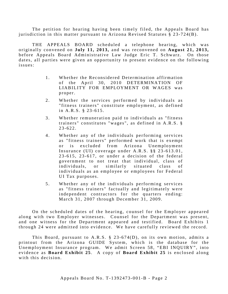The petition for hearing having been timely filed, the Appeals Board has jurisdiction in this matter pursuant to Arizona Revised Statutes § 23 -724(B).

THE APPEALS BOARD scheduled a telephone hearing, which was originally convened on **July 11, 2013,** and was reconvened on **August 21, 2013,**  before Appeals Board Administrative Law Judge Eric T. Schwarz. On those dates, all parties were given an opportunity to present evidence on the following issues:

- 1 . Whether the Reconsidered Determination affirmation of the April 30, 2010 DETERMINATION OF LIABILITY FOR EMPLOYMENT OR WAGES was proper.
- 2. Whether the services performed by individuals as "fitness trainers" constitute employment, as defined in A.R.S. § 23 - 615.
- 3. Whether remuneration paid to individuals as "fitness" trainers" constitutes "wages", as defined in A.R.S. §  $23 - 622$ .
- 4. Whether any of the individuals performing services as "fitness trainers" performed work that is exempt or is excluded from Arizona Unemployment Insurance (UI) coverage under A.R.S.  $\S$  $\S$  23-613.01, 2 3 -615, 23- 617, or under a decision of the federal government to not treat that individual, class of individuals, or similarly situated class of individuals as an employee or employees for Federal UI Tax purposes.
- 5 . Whether any of the individuals performing services as "fitness trainers" factually and legitimately were independent contractors for the quarters ending: March 31, 2007 through December 31, 2009.

On the scheduled dates of the hearing, counsel for the Employer appeared along with two Employer witnesses. Counsel for the Department was present, and one witness for the Department appeared and testified. Board Exhibits 1 through 24 were admitted into evidence. We have carefully reviewed the record.

This Board, pursuant to A.R.S. § 23 -674(D), on its own motion, admits a printout from the Arizona GUIDE System, which is the database for the Unemployment Insurance program. We admit Screen 58, "EBI INQUIRY", into evidence as **Board Exhibit 25**. A copy of **Board Exhibit 25** is enclosed along with this decision.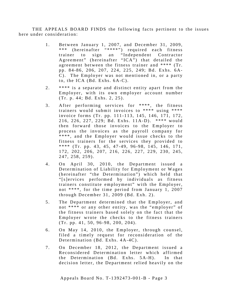THE APPEALS BOARD FINDS the following facts pertinent to the issues here under consideration:

- 1. Between January 1, 2007, and December 31, 2009, \*\*\* (hereinafter "\*\*\*\*") required each fitness trainer to sign an "Independent Contractor Agreement" (hereinafter "ICA") that detailed the agreement between the fitness trainer and \*\*\*\* (Tr. pp. 84-86, 206, 207, 224, 225, 249; Bd. Exhs. 6A-C). The Employer was not mentioned in, or a party to, the ICA (Bd. Exhs. 6A-C).
- 2. \*\*\*\* is a separate and distinct entity apart from the Employer, with its own employer account number (Tr. p. 4 4; Bd. Exhs. 2, 25).
- 3. After performing services for \*\*\*\*, the fitness trainers would submit invoices to \*\*\*\* using \*\*\*\* invoice forms (Tr. pp. 111 - 113, 145, 146, 171, 172, 216, 226, 227, 229; Bd. Exhs. 11A-D). \*\*\*\* would then forward those invoices to the Employer to process the invoices as the payroll company for \*\*\*\* , and the Employer would issue checks to the fitness trainers for the services they provided to \*\*\*\* (Tr. pp. 43, 45, 47 -49, 96 -98, 145, 146, 171, 172, 202, 206, 207, 216, 226, 227, 229, 230, 245, 247, 258, 259) .
- 4 . On April 30, 2010, the Department issued a Determination of Liability for Employment or Wages (hereinafter "the Determination") which held that "[s]ervices performed by individuals as fitness trainers constitute employment" with the Employer, not \*\*\*\*, for the time period from January 1, 2007 through December 31, 2009 (Bd. Exh. 2).
- 5. The Department determined that the Employer, and not \*\*\*\* or any other entity, was the "employer" of the fitness trainers based solely on the fact that the Employer wrote the checks to the fitness trainers (Tr. pp. 41, 50, 96 -98, 200, 204).
- 6. On May 14, 2010, the Employer, through counsel, filed a timely request for reconsideration of the Determination (Bd. Exhs. 4A-4C).
- 7. On December 18, 2012, the Department issued a Reconsidered Determination letter which affirmed the Determination (Bd. Exhs. 5A-H). In that decision letter, the Department relied heavily on the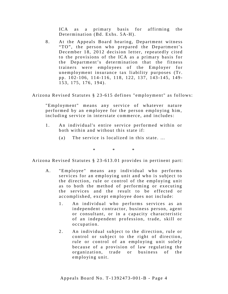ICA as a primary basis for affirming the Determination (Bd. Exhs. 5A-H).

8. At the Appeals Board hearing, Department witness "TO", the person who prepared the Department's December 18, 2012 decision letter, repeatedly cited to the provisions of the ICA as a primary basis for the Department's determination that the fitness trainers were employees of the Employer for unemployment insurance tax liability purposes (Tr. pp. 102-106, 114-116, 118, 122, 137, 143-145, 149-153, 175, 176, 194 ).

Arizona Revised Statutes § 23 -615 defines "employment" as follows:

"Employment" means any service of whatever nature performed by an employee for the person employing him, including service in interstate commerce, and includes:

- 1 . An individual's entire service performed within or both within and without this state if:
	- (a) The service is localized in this state. …

 $*$  \* \*

Arizona Revised Statutes § 23-613.01 provides in pertinent part:

- A. "Employee" means any individual who performs services for an employing unit and who is subject to the direction, rule or control of the employing unit as to both the method of performing or executing the services and the result to be effected or accomplished, except employee does not include:
	- 1. An individual who performs services as an independent contractor, business person, agent or consultant, or in a capacity characteristic of an independent profession, trade, skill or occupation.
	- 2. An individual subject to the direction, rule or control or subject to the right of direction, rule or control of an employing unit solely because of a provision of law regulating the organization, trade or business of the employing unit.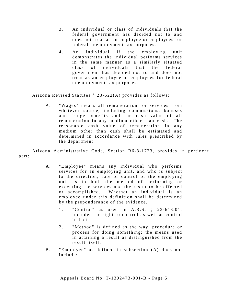- 3 . An individual or class of individuals that the federal government has decided not to and does not treat as an employee or employees for federal unemployment tax purposes.
- 4 . An individual if the employing unit demonstrates the individual performs services in the same manner as a similarly situated class of individuals that the federal government has decided not to and does not treat as an employee or employees for federal unemployment tax purposes.

Arizona Revised Statutes § 23 -622(A) provides as follows:

A. "Wages" means all remuneration for services from whatever source, including commissions, bonuses and fringe benefits and the cash value of all remuneration in any medium other than cash. The reasonable cash value of remuneration in any medium other than cash shall be estimated and determined in accordance with rules prescribed by the department.

Arizona Administrative Code, Section R6-3-1723, provides in pertinent part:

- A. "Employee" means any individual who performs services for an employing unit, and who is subject to the direction, rule or control of the employing unit as to both the method of performing or executing the services and the result to be effected or accomplished. Whether an individual is an employee under this definition shall be determined by the preponderance of the evidence.
	- 1. "Control" as used in A.R.S. § 23-613.01, includes the right to control as well as control in fact.
	- 2. "Method" is defined as the way, procedure or process for doing something; the means used in attaining a result as distinguished from the result itself.
- B. "Employee" as defined in subsection (A) does not include: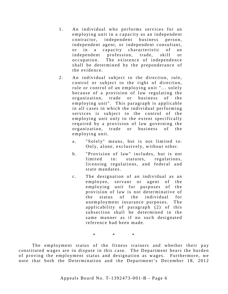- 1. An individual who performs services for an employing unit in a capacity as an independent contractor, independent business person, independent agent, or independent consultant, or in a capacity characteristic of an independent profession, trade, skill or occupation. The existence of independence shall be determined by the preponderance of the evidence.
- 2. An individual subject to the direction, rule, control or subject to the right of direction, rule or control of an employing unit "... solely because of a provision of law regulating the organization, trade or business of the employing unit". This paragraph is applicable in all cases in which the individual performing services is subject to the control of the employing unit only to the extent specifically required by a provision of law governing the organization, trade or business of the employing unit.
	- a. "Solely" means, but is not limited to: Only, alone, exclusively, without other.
	- b. "Provision of law" includes, but is not limited to: statutes, regulations, licensing regulations, and federal and state mandates.
	- c. The designation of an individual as an employee, servant or agent of the employing unit for purposes of the provision of law is not determinative of the status of the individual for unemployment insurance purposes. The applicability of paragraph (2) of this subsection shall be determined in the same manner as if no such designated reference had been made.

\* \* \*

The employment status of the fitness trainers and whether their pay constituted wages are in dispute in this case. The Department bears the burden of proving the employment status and designation as wages. Furthermore, we note that both the Determination and the Department's December 18, 2012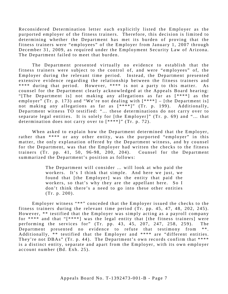Reconsidered Determination letter each explicitly listed the Employer as the purported employer of the fitness trainers. Therefore, this decision is limited to determining whether the Department has met its burden of proving that the fitness trainers were "employees" of the Employer from January 1, 2007 through December 31, 2009, as required un der the Employment Security Law of Arizona. The Department failed to meet that burden.

The Department presented virtually no evidence to establish that the fitness trainers were subject to the control of, and were "employees" of, the Employer during the relevant time period. Instead, the Department presented extensive evidence regarding the relationship between the fitness trainers and \*\*\*\* during that period. However, \*\*\*\* is not a party to this matter. As counsel for the Department clearly acknowledged at the Appeals Board hearing: "[The Department is] not making any allegations as far as [ \*\*\*\*] as the employer" (Tr. p. 173) and "We're not dealing with  $[****]$  – [the Department is] not making any allegations as far as  $[***]$ " (Tr. p. 199). Additionally, Department witness TO testified: "… these determinations do not carry over to separate legal entities. It is solely for [the Employer]" (Tr. p. 69) and "… that determination does not carry over to [ \*\*\*\*]" (Tr. p. 72).

When asked to explain how the Department determined that the Employer, rather than \*\*\*\* or any other entity, was the purported "employer" in this matter, the only explanation offered by the Department witness, and by counsel for the Department, was that the Employer had written the checks to the fitness trainers (Tr. pp. 41, 50, 96 -98, 200, 204). Counsel for the Department summarized the Department's position as follows:

> The Department will consider … will look at who paid the workers. It's I think that simple. And here we just, we found that [the Employer] was the entity that paid the workers, so that's why they are the appellant here. So I don't think there's a need to go into these other entities (Tr. p. 200).

Employer witness "\*\*" conceded that the Employer issued the checks to the fitness trainers during the relevant time period (Tr. pp. 45, 47, 48, 202, 245). However, \*\* testified that the Employer was simply acting as a payroll company for \*\*\*\* and that " $[****]$  was the legal entity that [the fitness trainers] were performing the services for" (Tr. pp. 43, 45, 207, 247, 258, 259 ). The Department presented no evidence to refute that testimony from \*\*. Additionally,  $**$  testified that the Employer and  $***$  are "different entities. They're not DBAs" (Tr. p. 44). The Department's own records confirm that \*\*\*\* is a distinct entity, separate and apart from the Employer, with its own employer account number (Bd. Exh. 25).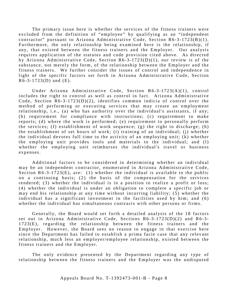The primary issue here is whether the services of the fitness trainers were excluded from the definition of "employee" by qualifying as an "independent contractor" pursuant to Arizona Administrative Code, Section  $R6-3-1723(B)(1)$ . Furthermore, the only relationship being examined here is the relationship, if any, that existed between the fitness trainers and the Employer. Our analysis requires application of the statutes and code provision cited above. As directed by Arizona Administrative Code, Section  $R6-3-1723(D)(1)$ , our review is of the substance, not merely the form, of the relationship between the Employer and the fitness trainers. We further consider the issues of control and independence in light of the specific factors set forth in Arizona Administrative Code, Section  $R6 - 3 - 1723(D)$  and  $(E)$ .

Under Arizona Administrative Code, Section R6 -3 -1723(A)(1), control includes the right to control as well as control in fact. Arizona Administrative Code, Section  $R6-3-1723(D)(2)$ , identifies common indicia of control over the method of performing or executing services that may create an employment relationship, i.e., (a) who has authority over the individual's assistants, if any; (b) requirement for compliance with instructions; (c) requirement to make reports; (d) where the work is performed; (e) requirement to personally perform the services; (f) establishment of work sequence; (g) the right to discharge; (h) the establishment of set hours of work; (i) training of an individual; (j) whether the individual devotes full time to the activity of an employing unit; (k) whether the employing unit provides tools and materials to the individual; and (l) whether the employing unit reimburses the individual's travel or business expenses.

Additional factors to be considered in determining whether an individual may be an independent contractor, enumerated in Arizona Administrative Code, Section  $R6 - 3 - 1723(E)$ , are: (1) whether the individual is available to the public on a continuing basis; (2) the basis of the compensation for the services rendered; (3) whether the individual is in a position to realize a profit or loss; (4) whether the individual is under an obligation to complete a specific job or may end his relationship at any time without incurring liability; (5) whether the individual has a significant investment in the facilities used by him; and (6) whether the individual has simultaneous contracts with other persons or firms.

Generally, the Board would set forth a detailed analysis of the 18 factors set out in Arizona Administrative Code, Sections  $R6-3-1723(D)(2)$  and  $R6-3-$ 1723(E), regarding the relationship between the fitness trainers and the Employer. However, the Board sees no reason to engage in that exercise here since the Department has failed to establish a prima facie case that any relevant relationship, much less an employer/employee relationship, existed between the fitness trainers and the Employer.

The only evidence presented by the Department regarding any type of relationship between the fitness trainers and the Employer was the undisputed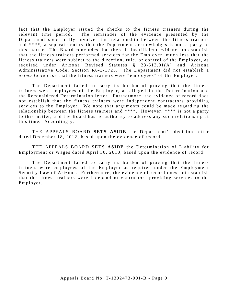fact that the Employer issued the checks to the fitness trainers during the relevant time period. The remainder of the evidence presented by the Department specifically involves the relationship between the fitness trainers and \*\*\*\*, a separate entity that the Department acknowledges is not a party to this matter. The Board concludes that there is insufficient evidence to establish that the fitness trainers performed services for the Employer, much less that the fitness trainers were subject to the direction, rule, or control of the Employer, as required under Arizona Revised Statutes § 23 -613.01(A) and Arizona Administrative Code, Section R6-3-1723. The Department did not establish a *prima facie* case that the fitness trainers were "employees" of the Employer.

The Department failed to carry its burden of proving that the fitness trainers were employees of the Employer, as alleged in the Determination and the Reconsidered Determination letter. Furthermore, the evidence of record does not establish that the fitness trainers were independent contractors providing services to the Employer. We note that arguments could be made regarding the relationship between the fitness trainers and \*\*\*\*. However, \*\*\*\* is not a party to this matter, and the Board has no authority to address any such relationship at this time. Accordingly,

THE APPEALS BOARD **SETS ASIDE** the Department's decision letter dated December 18, 2012, based upon the evidence of record.

THE APPEALS BOARD SETS ASIDE the Determination of Liability for Employment or Wages dated April 30, 2010, based upon the evidence of record.

The Department failed to carry its burden of proving that the fitness trainers were employees of the Employer as required under the Employment Security Law of Arizona. Furthermore, the evidence of record does not establish that the fitness trainers were independent contractors providing services to the Employer.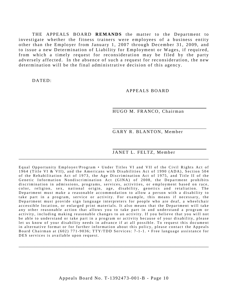THE APPEALS BOARD **REMANDS** the matter to the Department to investigate whether the fitness trainers were employees of a business entity other than the Employer from January 1, 2007 through December 31, 2009, and to issue a new Determination of Liability for Employment or Wages, if required, from which a timely request for reconsideration may be filed by the party adversely affected. In the absence of such a request for reconsideration, the new determination will be the final administrative decision of this agency.

DATED:

APPEALS BOARD

HUGO M. FRANCO, Chairman

GARY R. BLANTON, Member

#### JANET L. FELTZ, Member

Equal Opportunity Employer/Program • Under Titles VI and VII of the Civil Rights Act of 1964 (Title VI & VII), and the Americans with Disabilities Act of 1990 (ADA), Section 504 of the Rehabilitation Act of 1973, the Age Discrimination Act of 1975, and Title II of the Genetic Information Nondiscrimination Act (GINA) of 2008, the Department prohibits discrimination in admissions, programs, services, activities, or employment based on race, color, religion, sex, national origin, age, disability, genetics and retaliation. The Department must make a reasonable accommodation to allow a person with a disability to take part in a program, service or activity. For example, this means if necessary, the Department must provide sign language interpreters for people who are deaf, a wheelchair accessible location, or enlarged print materials. It also means that the Department will take any other reasonable action that allows you to take part in and understand a program or activity, including making reasonable changes to an activity. If you believe that you will not be able to understand or take part in a program or activity because of your disability, please let us know of your disability needs in advance if at all possible. To request this document in alternative format or for further information about this policy, please contact the Appeals Board Chairman at (602) 771-9036; TTY/TDD Services: 7-1-1. • Free language assistance for DES services is available upon request.

\_\_\_\_\_\_\_\_\_\_\_\_\_\_\_\_\_\_\_\_\_\_\_\_\_\_\_\_\_\_\_\_\_\_\_\_\_\_\_\_\_\_\_\_\_\_\_\_\_\_\_\_\_\_\_\_\_\_\_\_\_\_\_\_\_\_\_\_\_\_\_\_\_\_\_\_\_\_\_\_\_\_\_\_\_

\_\_\_\_\_\_\_\_\_\_\_\_\_\_\_\_\_\_\_\_\_\_\_\_\_\_\_\_\_\_\_\_\_\_\_\_\_\_\_\_\_\_\_\_\_\_\_\_\_\_\_\_\_\_\_\_\_\_\_\_\_\_\_\_\_\_\_\_\_\_\_\_\_\_\_\_\_\_\_\_\_\_\_\_\_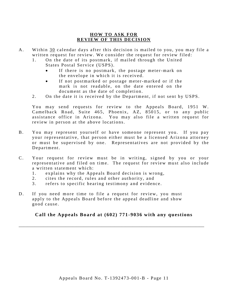## **HOW TO ASK FOR REVIEW OF THIS DECISION**

- A. Within 30 calendar days after this decision is mailed to you, you may file a written request for review. We consider the request for review filed:
	- 1. On the date of its postmark, if mailed through the United States Postal Service (USPS).
		- If there is no postmark, the postage meter-mark on the envelope in which it is received.
		- If not postmarked or postage meter-marked or if the mark is not readable, on the date entered on the document as the date of completion.
	- 2. On the date it is received by the Department, if not sent by USPS.

You may send requests for review to the Appeals Board, 1951 W. Camelback Road, Suite 465, Phoenix, AZ, 85015, or to any public assistance office in Arizona. You may also file a written request for review in person at the above locations.

- B. You may represent yourself or have someone represent you. If you pay your representative, that person either must be a licensed Arizona attorney or must be supervised by one. Representatives are not provided by the Department.
- C. Your request for review must be in writing, signed by you or your representative and filed on time. The request for review must also include a written statement which:
	- 1. explains why the Appeals Board decision is wrong,
	- 2. cites the record, rules and other authority, and
	- 3. refers to specific hearing testimony and evidence.
- D. If you need more time to file a request for review, you must apply to the Appeals Board before the appeal deadline and show good cause.

## **Call the Appeals Board at (602) 771-9036 with any questions**

\_\_\_\_\_\_\_\_\_\_\_\_\_\_\_\_\_\_\_\_\_\_\_\_\_\_\_\_\_\_\_\_\_\_\_\_\_\_\_\_\_\_\_\_\_\_\_\_\_\_\_\_\_\_\_\_\_\_\_\_\_\_\_\_\_\_\_\_\_\_\_\_\_\_\_\_\_\_\_\_\_\_\_